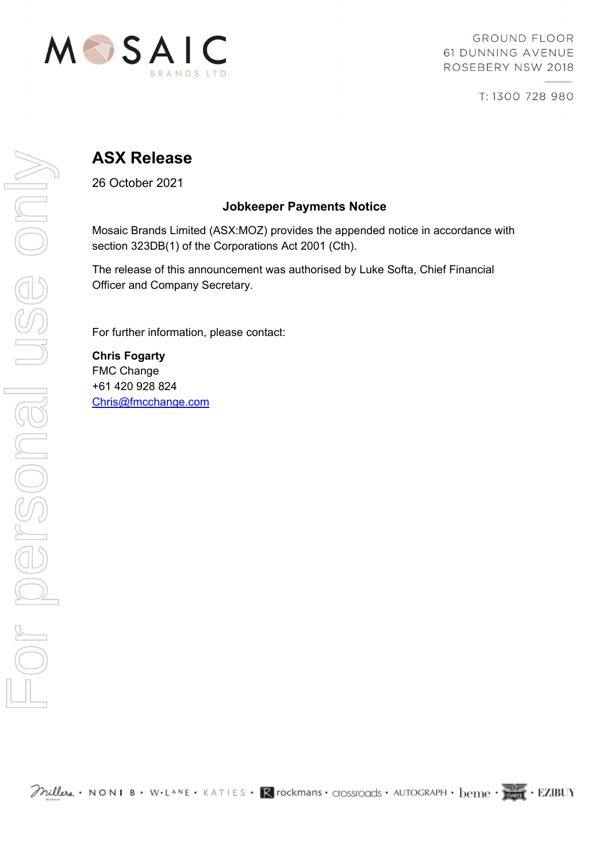

**GROUND FLOOR** 61 DUNNING AVENUE ROSEBERY NSW 2018

T: 1300 728 980

# **ASX Release**

26 October 2021

### **Jobkeeper Payments Notice**

Mosaic Brands Limited (ASX:MOZ) provides the appended notice in accordance with section 323DB(1) of the Corporations Act 2001 (Cth).

The release of this announcement was authorised by Luke Softa, Chief Financial Officer and Company Secretary.

For further information, please contact:

**Chris Fogarty** FMC Change +61 420 928 824 [Chris@fmcchange.com](mailto:Chris@fmcchange.com)